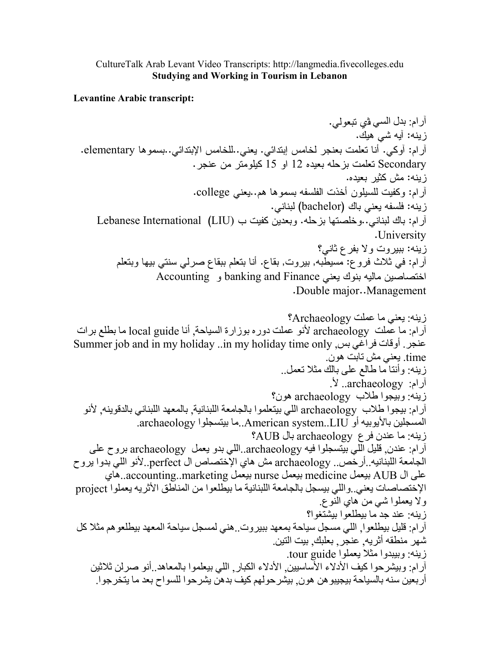## CultureTalk Arab Levant Video Transcripts: http://langmedia.fivecolleges.edu **Studying and Working in Tourism in Lebanon**

**Levantine Arabic transcript:** 

آر ام: بدل السي في تبعو لي. ز بنه: آبه شي هلِك. آر ام: أوكي. أنا تعلمت بعنجر لخامس إبتدائي. يعني. للخامس الإبتدائي. بسموها elementary. Secondary تعلمت بزحله بعيده 12 او 15 كيلومتر من عنجر. زبنه: مش كثير بعبده. أرام: وكفيت للسيلون أخذت الفلسفه بسموها هم. بعني college. زينه: فلسفه يعني باك (bachelor) لبناني. آرام: باك لبناني..وخلصتها بزحله. وبعدين كفيت ب (LIU) Lebanese International .University زينه: ببيروت ولا بفرع ثاني؟ أرام: في ثلاث فرو ع: مسيطبه, بيروت, بقاع. أنا بنعلم ببقاع صرلبي سنتي بيها وبنعلم اختصاصين ماليه بنوك يعني banking and Finance و Accounting .Double major..Management زينه: يعني ما عملت Archaeology؟ أرام: ما عُملت archaeology لأنو عملت دوره بوزارة السياحة. أنا local guide ما بطلع برات عنجر. أوقات فراغي بس, Summer job and in my holiday ..in my holiday time only time. يعني مش نابت هون زينه: وأنتا ما طالع على بالك مثلا نعمل.. آرام: archaeology. لأ. زينه: وبيجوا طلاب archaeology هون؟ آرام: بيجوا طلاب archaeology اللي بيتعلموا بالجامعة اللبنانية. بالمعهد اللبناني بالدقوينه. لأنو المسجلين بالأيوبيه أو American system..LIU..ما بيتسجلوا archaeology. زينه: ما عندن فرع archaeology بال AUB؟ أرام: عندن قليل اللَّي بَيْتِسجِلُوا فيه archaeology..اللَّي بدو يعمل archaeology بروح علي الجامعة اللبنانيه ِ أرخص ِ archaeology مش هاي الإختصاص ال perfect. لأنو اللي بدوا يروح على ال AUB بيعمل medicine بيعمل nurse بيعمل accounting..marketing . الإختصاصات يعني واللي بيسجل بالجامعة اللبنانية ما بيطلعوا من المناطق الأثريه بعملوا project و لا بعملو ا شبي من هاي النو ع زينه: عند جد ما يبطلعوا يبشتغوا؟ أرام: قليل بيطلعوا إاللي مسجل سياحة بمعهد ببير وت فني لمسجل سياحة المعهد بيطلعو هم مثلا كل شهر منطقه أثريه عنجر بعلبك بيت التين زينه: وبيبدوا مثلا يعملوا tour guide. آرام: وبيشرحوا كيف الأدلاء الأساسبين الأدلاء الكبار. اللي بيعلموا بالمعاهد أنو صرلن ثلاثين أربعين سنه بالسياحة بيجيبو هن هون بيشر حولهم كيف بدهن يشرحوا للسواح بعد ما يتخرجوا ِ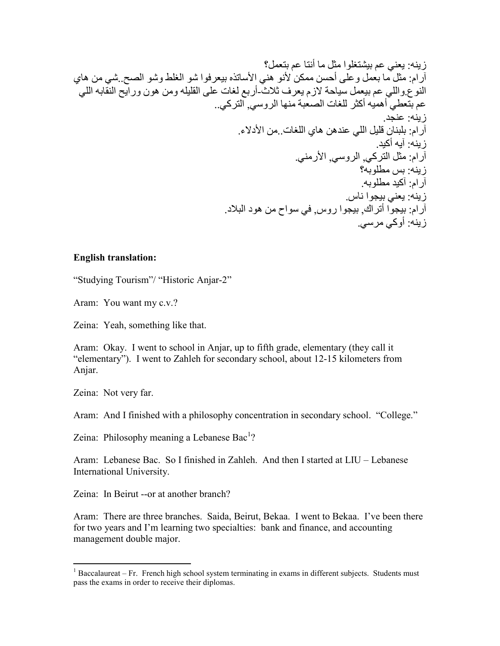## **English translation:**

"Studying Tourism"/ "Historic Anjar-2"

Aram: You want my c.v.?

Zeina: Yeah, something like that.

Aram: Okay. I went to school in Anjar, up to fifth grade, elementary (they call it "elementary"). I went to Zahleh for secondary school, about 12-15 kilometers from Anjar.

Zeina: Not very far.

Aram: And I finished with a philosophy concentration in secondary school. "College."

Zeina: Philosophy meaning a Lebanese Bac<sup>1</sup>?

Aram: Lebanese Bac. So I finished in Zahleh. And then I started at LIU – Lebanese International University.

Zeina: In Beirut -- or at another branch?

Aram: There are three branches. Saida, Beirut, Bekaa. I went to Bekaa. I've been there for two years and I'm learning two specialties: bank and finance, and accounting management double major.

 $1$  Baccalaureat – Fr. French high school system terminating in exams in different subjects. Students must pass the exams in order to receive their diplomas.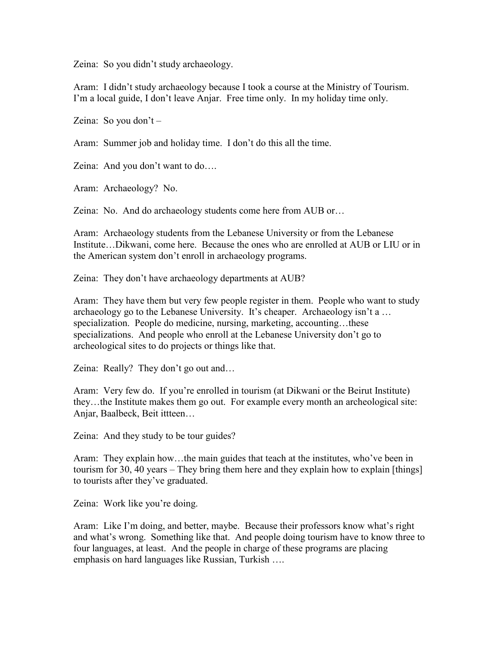Zeina: So you didn't study archaeology.

Aram: I didn't study archaeology because I took a course at the Ministry of Tourism. I'm a local guide, I don't leave Anjar. Free time only. In my holiday time only.

Zeina: So you don't –

Aram: Summer job and holiday time. I don't do this all the time.

Zeina: And you don't want to do….

Aram: Archaeology? No.

Zeina: No. And do archaeology students come here from AUB or…

Aram: Archaeology students from the Lebanese University or from the Lebanese Institute…Dikwani, come here. Because the ones who are enrolled at AUB or LIU or in the American system don't enroll in archaeology programs.

Zeina: They don't have archaeology departments at AUB?

Aram: They have them but very few people register in them. People who want to study archaeology go to the Lebanese University. It's cheaper. Archaeology isn't a … specialization. People do medicine, nursing, marketing, accounting...these specializations. And people who enroll at the Lebanese University don't go to archeological sites to do projects or things like that.

Zeina: Really? They don't go out and...

Aram: Very few do. If you're enrolled in tourism (at Dikwani or the Beirut Institute) they…the Institute makes them go out. For example every month an archeological site: Anjar, Baalbeck, Beit ittteen…

Zeina: And they study to be tour guides?

Aram: They explain how…the main guides that teach at the institutes, who've been in tourism for 30, 40 years – They bring them here and they explain how to explain [things] to tourists after they've graduated.

Zeina: Work like you're doing.

Aram: Like I'm doing, and better, maybe. Because their professors know what's right and what's wrong. Something like that. And people doing tourism have to know three to four languages, at least. And the people in charge of these programs are placing emphasis on hard languages like Russian, Turkish ….